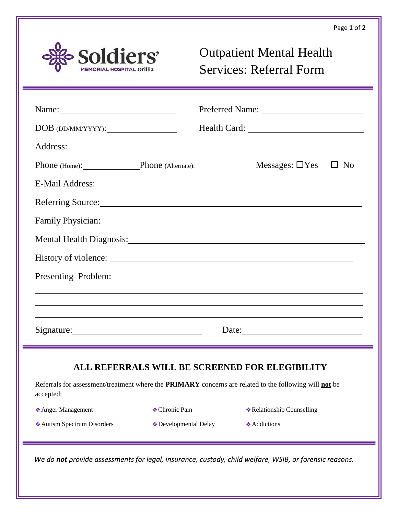

## Outpatient Mental Health Services: Referral Form

| $DOB$ (DD/MM/YYYY): $\qquad \qquad$                                                                                                                                                                                                                                                                                                                                                                           |                       |                                                                                                                                                                                                                                |
|---------------------------------------------------------------------------------------------------------------------------------------------------------------------------------------------------------------------------------------------------------------------------------------------------------------------------------------------------------------------------------------------------------------|-----------------------|--------------------------------------------------------------------------------------------------------------------------------------------------------------------------------------------------------------------------------|
|                                                                                                                                                                                                                                                                                                                                                                                                               |                       |                                                                                                                                                                                                                                |
|                                                                                                                                                                                                                                                                                                                                                                                                               |                       | Phone (Home): Phone (Alternate): Messages: □Yes □ No                                                                                                                                                                           |
|                                                                                                                                                                                                                                                                                                                                                                                                               |                       |                                                                                                                                                                                                                                |
|                                                                                                                                                                                                                                                                                                                                                                                                               |                       | Referring Source: Network of the Contract of the Contract of the Contract of the Contract of the Contract of the Contract of the Contract of the Contract of the Contract of the Contract of the Contract of the Contract of t |
|                                                                                                                                                                                                                                                                                                                                                                                                               |                       | Family Physician: 1997 and 2008 and 2008 and 2008 and 2008 and 2008 and 2008 and 2008 and 2008 and 2008 and 20                                                                                                                 |
|                                                                                                                                                                                                                                                                                                                                                                                                               |                       | Mental Health Diagnosis: New York Channels and School and School and School and School and School and School and School and School and School and School and School and School and School and School and School and School and |
|                                                                                                                                                                                                                                                                                                                                                                                                               |                       |                                                                                                                                                                                                                                |
| Presenting Problem:                                                                                                                                                                                                                                                                                                                                                                                           |                       | ,我们也不会有什么。""我们的人,我们也不会有什么?""我们的人,我们也不会有什么?""我们的人,我们也不会有什么?""我们的人,我们也不会有什么?""我们的人                                                                                                                                               |
|                                                                                                                                                                                                                                                                                                                                                                                                               |                       | ,我们也不会有什么。""我们的人,我们也不会有什么?""我们的人,我们也不会有什么?""我们的人,我们也不会有什么?""我们的人,我们也不会有什么?""我们的人                                                                                                                                               |
| Date: $\frac{1}{\sqrt{1-\frac{1}{2}}\sqrt{1-\frac{1}{2}}\sqrt{1-\frac{1}{2}}\sqrt{1-\frac{1}{2}}\sqrt{1-\frac{1}{2}}\sqrt{1-\frac{1}{2}}\sqrt{1-\frac{1}{2}}\sqrt{1-\frac{1}{2}}\sqrt{1-\frac{1}{2}}\sqrt{1-\frac{1}{2}}\sqrt{1-\frac{1}{2}}\sqrt{1-\frac{1}{2}}\sqrt{1-\frac{1}{2}}\sqrt{1-\frac{1}{2}}\sqrt{1-\frac{1}{2}}\sqrt{1-\frac{1}{2}}\sqrt{1-\frac{1}{2}}\sqrt{1-\frac{1}{2}}\sqrt{1-\frac{1}{2}}$ |                       |                                                                                                                                                                                                                                |
| accepted:                                                                                                                                                                                                                                                                                                                                                                                                     |                       | ALL REFERRALS WILL BE SCREENED FOR ELEGIBILITY<br>Referrals for assessment/treatment where the <b>PRIMARY</b> concerns are related to the following will <b>not</b> be                                                         |
| * Anger Management                                                                                                                                                                                                                                                                                                                                                                                            | ◆ Chronic Pain        | <b>* Relationship Counselling</b>                                                                                                                                                                                              |
|                                                                                                                                                                                                                                                                                                                                                                                                               | ◆ Developmental Delay | <b>Addictions</b>                                                                                                                                                                                                              |